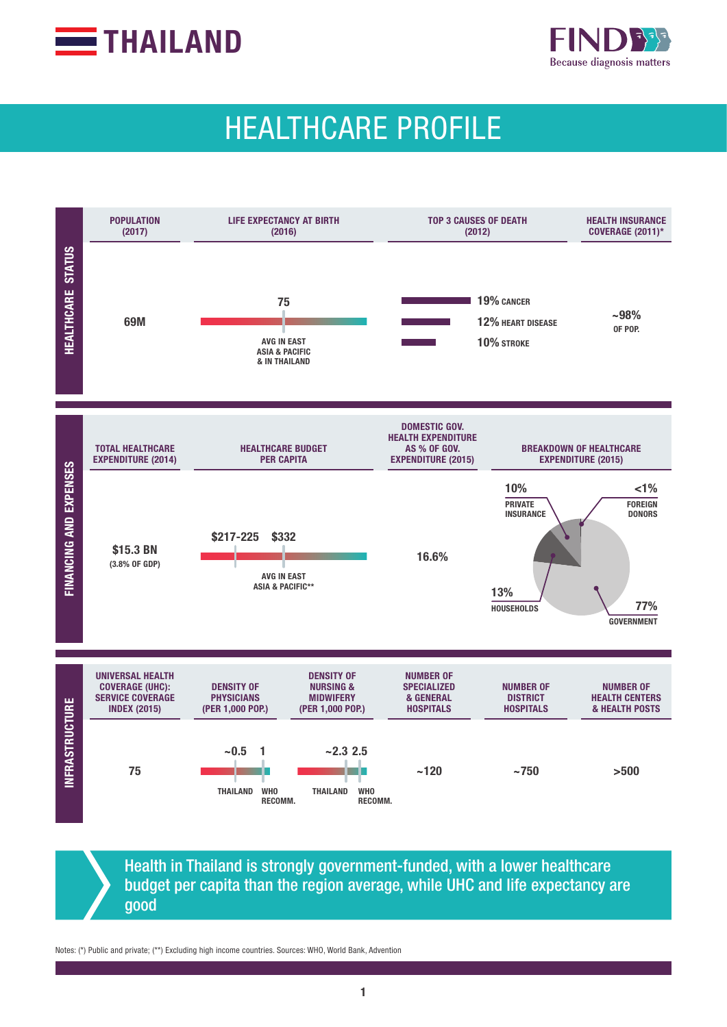



# HEALTHCARE PROFILE



Health in Thailand is strongly government-funded, with a lower healthcare budget per capita than the region average, while UHC and life expectancy are good

Notes: (\*) Public and private; (\*\*) Excluding high income countries. Sources: WHO, World Bank, Advention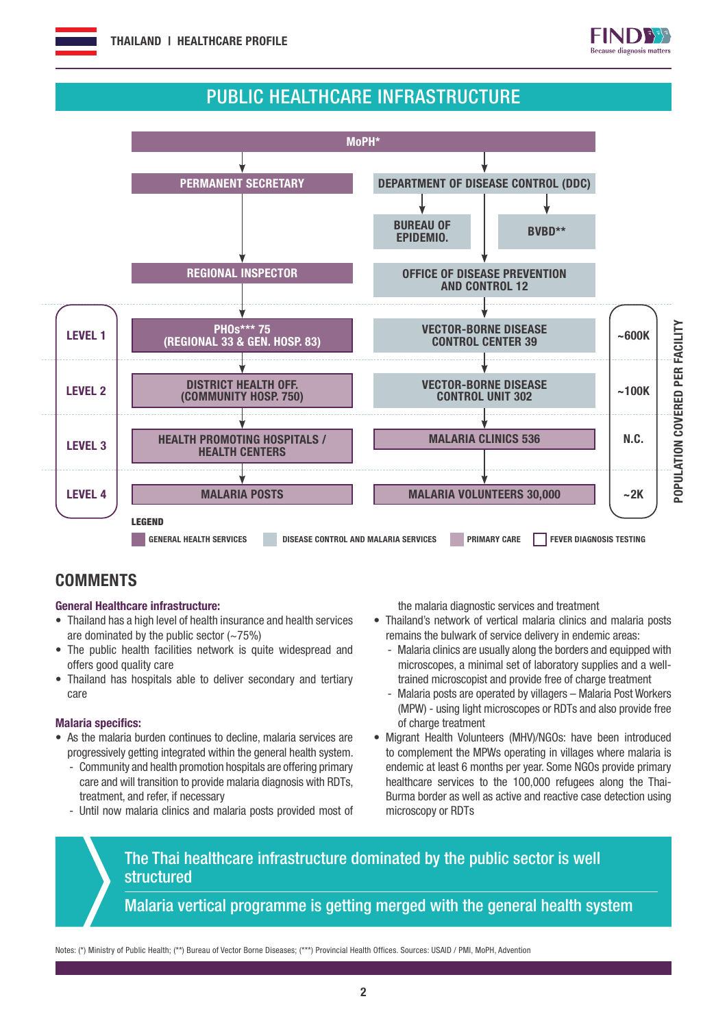

## PUBLIC HEALTHCARE INFRASTRUCTURE



## **COMMENTS**

#### General Healthcare infrastructure:

- Thailand has a high level of health insurance and health services are dominated by the public sector  $(-75%)$
- The public health facilities network is quite widespread and offers good quality care
- Thailand has hospitals able to deliver secondary and tertiary care

#### Malaria specifics:

- As the malaria burden continues to decline, malaria services are progressively getting integrated within the general health system.
	- Community and health promotion hospitals are offering primary care and will transition to provide malaria diagnosis with RDTs, treatment, and refer, if necessary
	- Until now malaria clinics and malaria posts provided most of

the malaria diagnostic services and treatment

- Thailand's network of vertical malaria clinics and malaria posts remains the bulwark of service delivery in endemic areas:
	- Malaria clinics are usually along the borders and equipped with microscopes, a minimal set of laboratory supplies and a welltrained microscopist and provide free of charge treatment
	- Malaria posts are operated by villagers Malaria Post Workers (MPW) - using light microscopes or RDTs and also provide free of charge treatment
- Migrant Health Volunteers (MHV)/NGOs: have been introduced to complement the MPWs operating in villages where malaria is endemic at least 6 months per year. Some NGOs provide primary healthcare services to the 100,000 refugees along the Thai-Burma border as well as active and reactive case detection using microscopy or RDTs

## The Thai healthcare infrastructure dominated by the public sector is well **structured**

Malaria vertical programme is getting merged with the general health system

Notes: (\*) Ministry of Public Health; (\*\*) Bureau of Vector Borne Diseases; (\*\*\*) Provincial Health Offices. Sources: USAID / PMI, MoPH, Advention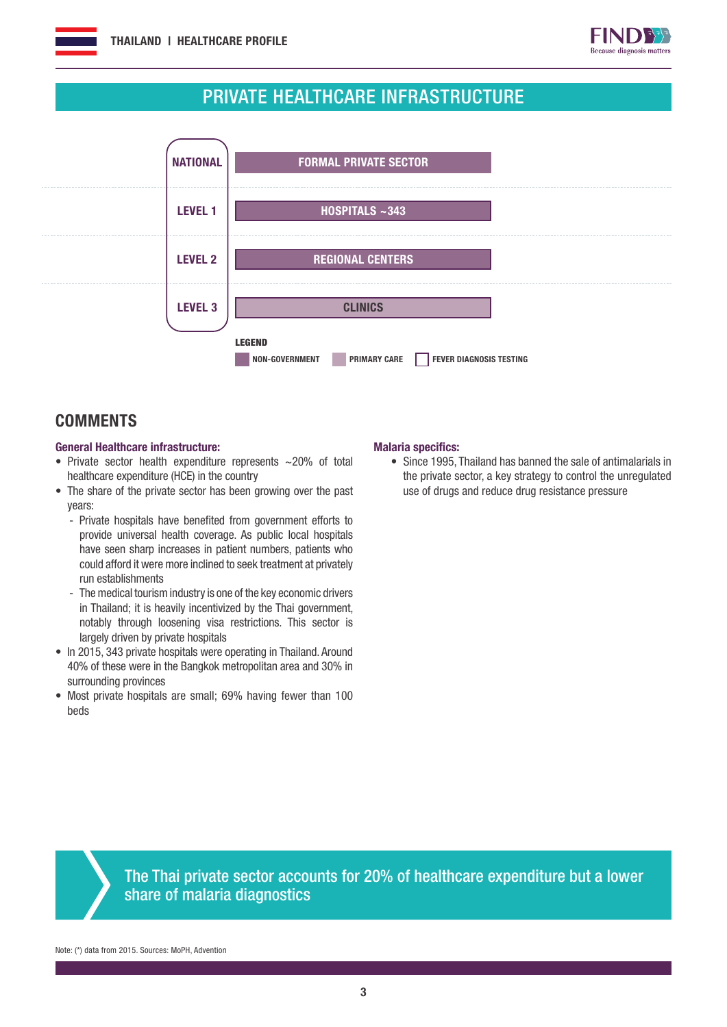

## PRIVATE HEALTHCARE INFRASTRUCTURE



### **COMMENTS**

#### General Healthcare infrastructure:

- Private sector health expenditure represents ~20% of total healthcare expenditure (HCE) in the country
- The share of the private sector has been growing over the past years:
	- Private hospitals have benefited from government efforts to provide universal health coverage. As public local hospitals have seen sharp increases in patient numbers, patients who could afford it were more inclined to seek treatment at privately run establishments
	- The medical tourism industry is one of the key economic drivers in Thailand; it is heavily incentivized by the Thai government, notably through loosening visa restrictions. This sector is largely driven by private hospitals
- In 2015, 343 private hospitals were operating in Thailand. Around 40% of these were in the Bangkok metropolitan area and 30% in surrounding provinces
- Most private hospitals are small; 69% having fewer than 100 beds

#### Malaria specifics:

• Since 1995, Thailand has banned the sale of antimalarials in the private sector, a key strategy to control the unregulated use of drugs and reduce drug resistance pressure



The Thai private sector accounts for 20% of healthcare expenditure but a lower share of malaria diagnostics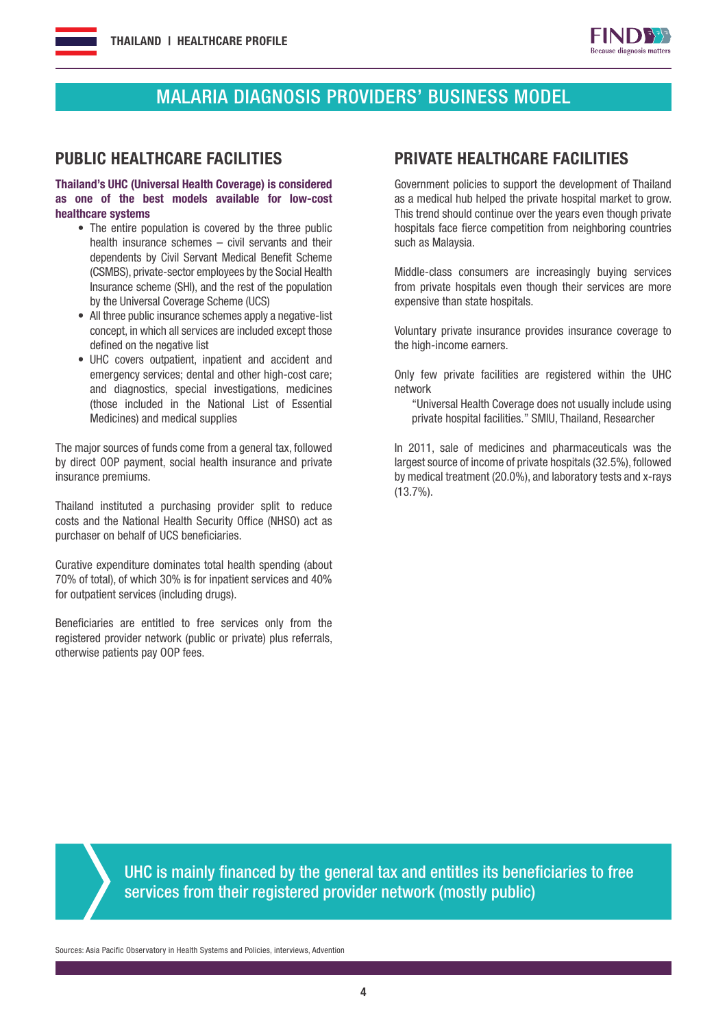

## MALARIA DIAGNOSIS PROVIDERS' BUSINESS MODEL

#### Thailand's UHC (Universal Health Coverage) is considered as one of the best models available for low-cost healthcare systems

- The entire population is covered by the three public health insurance schemes – civil servants and their dependents by Civil Servant Medical Benefit Scheme (CSMBS), private-sector employees by the Social Health Insurance scheme (SHI), and the rest of the population by the Universal Coverage Scheme (UCS)
- All three public insurance schemes apply a negative-list concept, in which all services are included except those defined on the negative list
- UHC covers outpatient, inpatient and accident and emergency services; dental and other high-cost care; and diagnostics, special investigations, medicines (those included in the National List of Essential Medicines) and medical supplies

The major sources of funds come from a general tax, followed by direct OOP payment, social health insurance and private insurance premiums.

Thailand instituted a purchasing provider split to reduce costs and the National Health Security Office (NHSO) act as purchaser on behalf of UCS beneficiaries.

Curative expenditure dominates total health spending (about 70% of total), of which 30% is for inpatient services and 40% for outpatient services (including drugs).

Beneficiaries are entitled to free services only from the registered provider network (public or private) plus referrals, otherwise patients pay OOP fees.

#### PUBLIC HEALTHCARE FACILITIES PRIVATE HEALTHCARE FACILITIES

Government policies to support the development of Thailand as a medical hub helped the private hospital market to grow. This trend should continue over the years even though private hospitals face fierce competition from neighboring countries such as Malaysia.

Middle-class consumers are increasingly buying services from private hospitals even though their services are more expensive than state hospitals.

Voluntary private insurance provides insurance coverage to the high-income earners.

Only few private facilities are registered within the UHC network

"Universal Health Coverage does not usually include using private hospital facilities." SMIU, Thailand, Researcher

In 2011, sale of medicines and pharmaceuticals was the largest source of income of private hospitals (32.5%), followed by medical treatment (20.0%), and laboratory tests and x-rays (13.7%).

UHC is mainly financed by the general tax and entitles its beneficiaries to free services from their registered provider network (mostly public)

Sources: Asia Pacific Observatory in Health Systems and Policies, interviews, Advention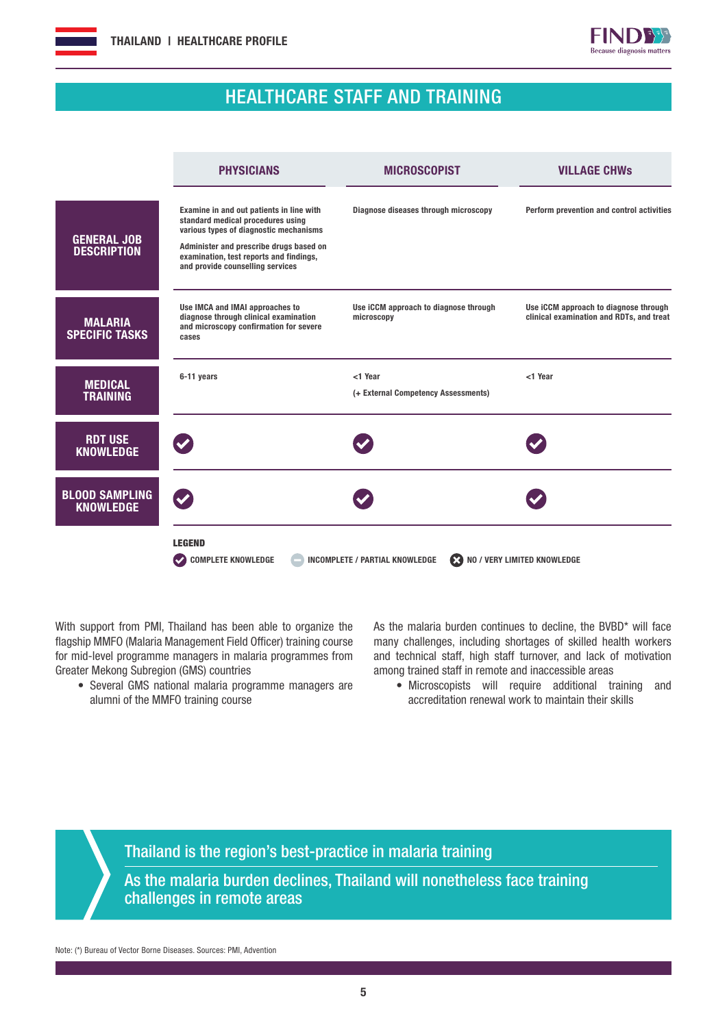



## HEALTHCARE STAFF AND TRAINING

|                                           | <b>PHYSICIANS</b>                                                                                                                                                                                                                                 | <b>MICROSCOPIST</b>                                 | <b>VILLAGE CHWS</b>                                                               |
|-------------------------------------------|---------------------------------------------------------------------------------------------------------------------------------------------------------------------------------------------------------------------------------------------------|-----------------------------------------------------|-----------------------------------------------------------------------------------|
| <b>GENERAL JOB</b><br><b>DESCRIPTION</b>  | Examine in and out patients in line with<br>standard medical procedures using<br>various types of diagnostic mechanisms<br>Administer and prescribe drugs based on<br>examination, test reports and findings,<br>and provide counselling services | Diagnose diseases through microscopy                | Perform prevention and control activities                                         |
| <b>MALARIA</b><br><b>SPECIFIC TASKS</b>   | Use IMCA and IMAI approaches to<br>diagnose through clinical examination<br>and microscopy confirmation for severe<br>cases                                                                                                                       | Use iCCM approach to diagnose through<br>microscopy | Use iCCM approach to diagnose through<br>clinical examination and RDTs, and treat |
| <b>MEDICAL</b><br><b>TRAINING</b>         | 6-11 years                                                                                                                                                                                                                                        | <1 Year<br>(+ External Competency Assessments)      | <1 Year                                                                           |
| <b>RDT USE</b><br><b>KNOWLEDGE</b>        |                                                                                                                                                                                                                                                   |                                                     |                                                                                   |
| <b>BLOOD SAMPLING</b><br><b>KNOWLEDGE</b> |                                                                                                                                                                                                                                                   |                                                     |                                                                                   |
|                                           | <b>LEGEND</b><br><b>COMPLETE KNOWLEDGE</b><br><b>INCOMPLETE / PARTIAL KNOWLEDGE</b><br><b>EX NO / VERY LIMITED KNOWLEDGE</b>                                                                                                                      |                                                     |                                                                                   |

With support from PMI, Thailand has been able to organize the flagship MMFO (Malaria Management Field Officer) training course for mid-level programme managers in malaria programmes from Greater Mekong Subregion (GMS) countries

• Several GMS national malaria programme managers are alumni of the MMFO training course

As the malaria burden continues to decline, the BVBD\* will face many challenges, including shortages of skilled health workers and technical staff, high staff turnover, and lack of motivation among trained staff in remote and inaccessible areas

• Microscopists will require additional training and accreditation renewal work to maintain their skills

Thailand is the region's best-practice in malaria training

As the malaria burden declines, Thailand will nonetheless face training challenges in remote areas

Note: (\*) Bureau of Vector Borne Diseases. Sources: PMI, Advention